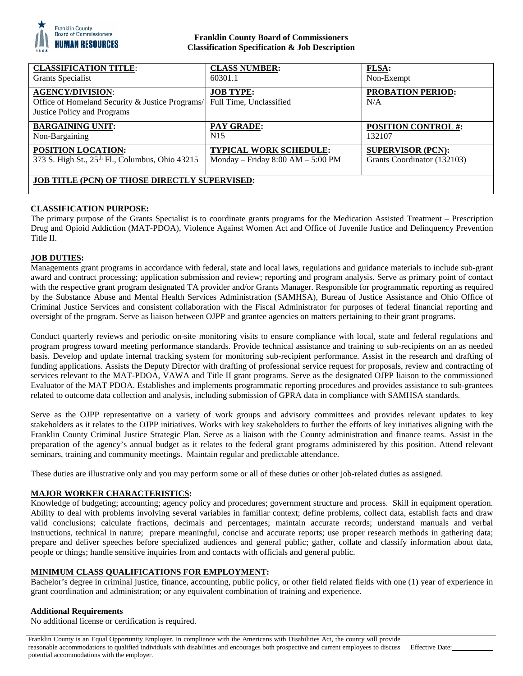

## **Franklin County Board of Commissioners Classification Specification & Job Description**

| <b>CLASSIFICATION TITLE:</b>                                                                              | <b>CLASS NUMBER:</b>                        | <b>FLSA:</b>                    |
|-----------------------------------------------------------------------------------------------------------|---------------------------------------------|---------------------------------|
| Grants Specialist                                                                                         | 60301.1                                     | Non-Exempt                      |
| <b>AGENCY/DIVISION:</b><br>Office of Homeland Security & Justice Programs/<br>Justice Policy and Programs | <b>JOB TYPE:</b><br>Full Time, Unclassified | <b>PROBATION PERIOD:</b><br>N/A |
| <b>BARGAINING UNIT:</b>                                                                                   | <b>PAY GRADE:</b>                           | <b>POSITION CONTROL #:</b>      |
| Non-Bargaining                                                                                            | N <sub>15</sub>                             | 132107                          |
| POSITION LOCATION:                                                                                        | <b>TYPICAL WORK SCHEDULE:</b>               | <b>SUPERVISOR (PCN):</b>        |
| 373 S. High St., 25 <sup>th</sup> Fl., Columbus, Ohio 43215                                               | Monday - Friday $8:00$ AM - $5:00$ PM       | Grants Coordinator (132103)     |
| <b>JOB TITLE (PCN) OF THOSE DIRECTLY SUPERVISED:</b>                                                      |                                             |                                 |

# **CLASSIFICATION PURPOSE:**

The primary purpose of the Grants Specialist is to coordinate grants programs for the Medication Assisted Treatment – Prescription Drug and Opioid Addiction (MAT-PDOA), Violence Against Women Act and Office of Juvenile Justice and Delinquency Prevention Title II.

### **JOB DUTIES:**

Managements grant programs in accordance with federal, state and local laws, regulations and guidance materials to include sub-grant award and contract processing; application submission and review; reporting and program analysis. Serve as primary point of contact with the respective grant program designated TA provider and/or Grants Manager. Responsible for programmatic reporting as required by the Substance Abuse and Mental Health Services Administration (SAMHSA), Bureau of Justice Assistance and Ohio Office of Criminal Justice Services and consistent collaboration with the Fiscal Administrator for purposes of federal financial reporting and oversight of the program. Serve as liaison between OJPP and grantee agencies on matters pertaining to their grant programs.

Conduct quarterly reviews and periodic on-site monitoring visits to ensure compliance with local, state and federal regulations and program progress toward meeting performance standards. Provide technical assistance and training to sub-recipients on an as needed basis. Develop and update internal tracking system for monitoring sub-recipient performance. Assist in the research and drafting of funding applications. Assists the Deputy Director with drafting of professional service request for proposals, review and contracting of services relevant to the MAT-PDOA, VAWA and Title II grant programs. Serve as the designated OJPP liaison to the commissioned Evaluator of the MAT PDOA. Establishes and implements programmatic reporting procedures and provides assistance to sub-grantees related to outcome data collection and analysis, including submission of GPRA data in compliance with SAMHSA standards.

Serve as the OJPP representative on a variety of work groups and advisory committees and provides relevant updates to key stakeholders as it relates to the OJPP initiatives. Works with key stakeholders to further the efforts of key initiatives aligning with the Franklin County Criminal Justice Strategic Plan. Serve as a liaison with the County administration and finance teams. Assist in the preparation of the agency's annual budget as it relates to the federal grant programs administered by this position. Attend relevant seminars, training and community meetings. Maintain regular and predictable attendance.

These duties are illustrative only and you may perform some or all of these duties or other job-related duties as assigned.

### **MAJOR WORKER CHARACTERISTICS:**

Knowledge of budgeting; accounting; agency policy and procedures; government structure and process. Skill in equipment operation. Ability to deal with problems involving several variables in familiar context; define problems, collect data, establish facts and draw valid conclusions; calculate fractions, decimals and percentages; maintain accurate records; understand manuals and verbal instructions, technical in nature; prepare meaningful, concise and accurate reports; use proper research methods in gathering data; prepare and deliver speeches before specialized audiences and general public; gather, collate and classify information about data, people or things; handle sensitive inquiries from and contacts with officials and general public.

### **MINIMUM CLASS QUALIFICATIONS FOR EMPLOYMENT:**

Bachelor's degree in criminal justice, finance, accounting, public policy, or other field related fields with one (1) year of experience in grant coordination and administration; or any equivalent combination of training and experience.

### **Additional Requirements**

No additional license or certification is required.